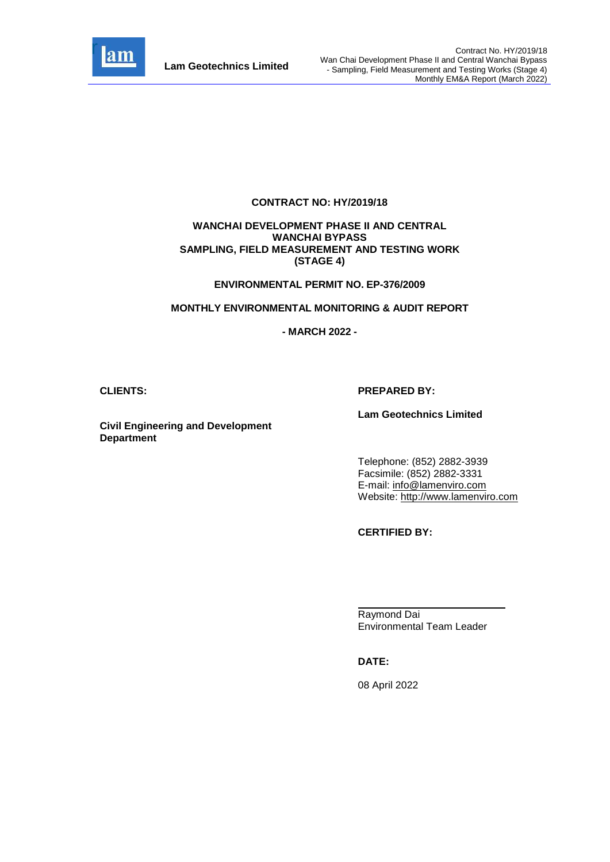

#### **CONTRACT NO: HY/2019/18**

#### **WANCHAI DEVELOPMENT PHASE II AND CENTRAL WANCHAI BYPASS SAMPLING, FIELD MEASUREMENT AND TESTING WORK (STAGE 4)**

#### **ENVIRONMENTAL PERMIT NO. EP-376/2009**

#### **MONTHLY ENVIRONMENTAL MONITORING & AUDIT REPORT**

#### **- MARCH 2022 -**

#### **CLIENTS: PREPARED BY:**

#### **Lam Geotechnics Limited**

**Civil Engineering and Development Department**

> Telephone: (852) 2882-3939 Facsimile: (852) 2882-3331 E-mail: [info@lamenviro.com](mailto:info@lamenviro.com) Website: [http://www.lamenviro.com](http://www.lamenviro.com/)

**CERTIFIED BY:**

Raymond Dai Environmental Team Leader

**DATE:**

08 April 2022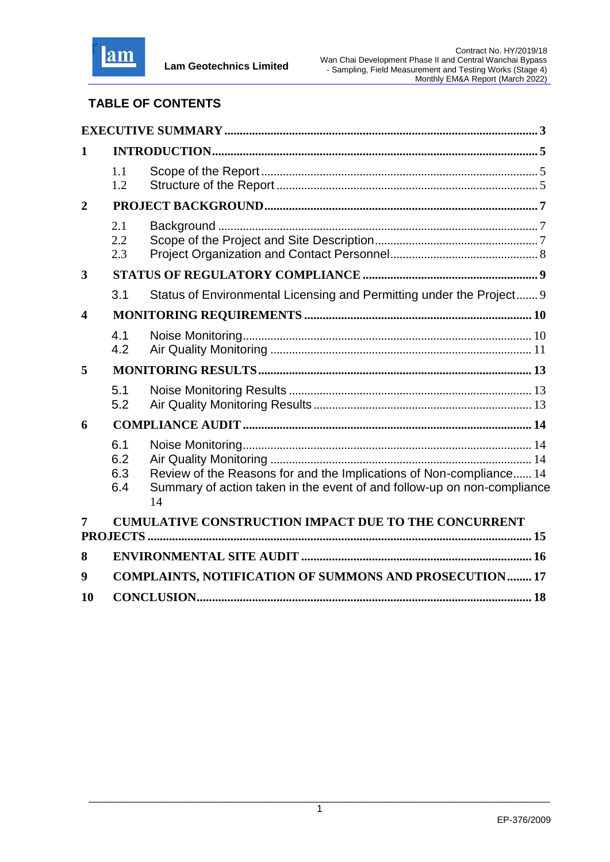

# **TABLE OF CONTENTS**

| 1                       |                          |                                                                                                                                                      |
|-------------------------|--------------------------|------------------------------------------------------------------------------------------------------------------------------------------------------|
|                         | 1.1<br>1.2               |                                                                                                                                                      |
| $\overline{2}$          |                          |                                                                                                                                                      |
|                         | 2.1<br>2.2<br>2.3        |                                                                                                                                                      |
| $\overline{\mathbf{3}}$ |                          |                                                                                                                                                      |
|                         | 3.1                      | Status of Environmental Licensing and Permitting under the Project 9                                                                                 |
| $\overline{\mathbf{4}}$ |                          |                                                                                                                                                      |
|                         | 4.1<br>4.2               |                                                                                                                                                      |
| 5                       |                          |                                                                                                                                                      |
|                         | 5.1<br>5.2               |                                                                                                                                                      |
| 6                       |                          |                                                                                                                                                      |
|                         | 6.1<br>6.2<br>6.3<br>6.4 | Review of the Reasons for and the Implications of Non-compliance 14<br>Summary of action taken in the event of and follow-up on non-compliance<br>14 |
|                         |                          | <b>CUMULATIVE CONSTRUCTION IMPACT DUE TO THE CONCURRENT</b>                                                                                          |
|                         |                          |                                                                                                                                                      |
| 8                       |                          |                                                                                                                                                      |
| 9                       |                          | <b>COMPLAINTS, NOTIFICATION OF SUMMONS AND PROSECUTION 17</b>                                                                                        |
| 10                      |                          |                                                                                                                                                      |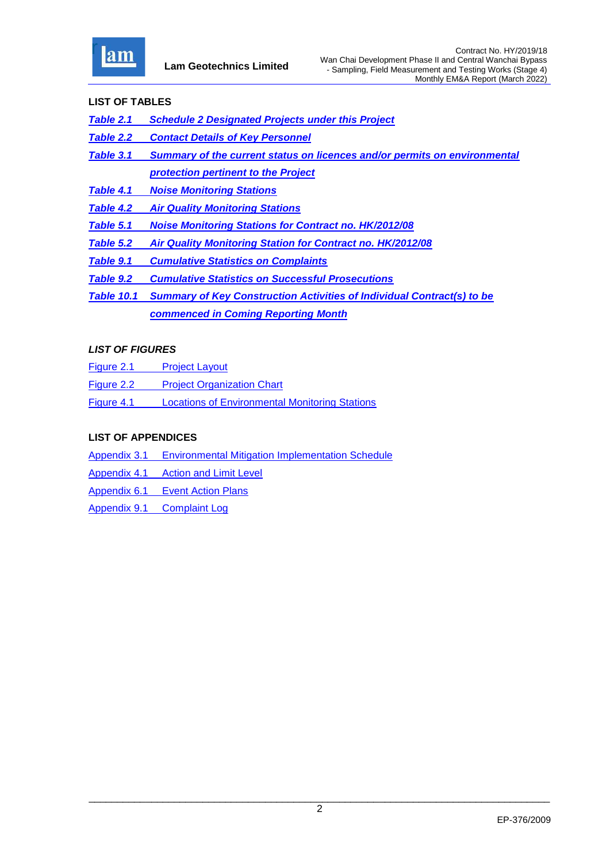

### **LIST OF TABLES**

- *[Table 2.1 Schedule 2 Designated Projects under this Project](#page-7-3)*
- *Table 2.2 [Contact Details of Key Personnel](#page-8-1)*
- *Table 3.1 [Summary of the current status on licences and/or permits on environmental](#page-9-2)  [protection pertinent to the Project](#page-9-2)*
- *Table 4.1 [Noise Monitoring Stations](#page-10-2)*
- *Table 4.2 [Air Quality Monitoring Stations](#page-11-1)*
- *Table 5.1 [Noise Monitoring Stations for Contract no. HK/2012/08](#page-13-3)*
- *[Table 5.2 Air Quality Monitoring Station for Contract no. HK/2012/08](#page-13-4)*
- *Table 9.1 [Cumulative Statistics on Complaints](#page-17-1)*
- *Table 9.2 [Cumulative Statistics on Successful Prosecutions](#page-17-2)*
- *Table 10.1 Summary of Key Construction Activities of Individual Contract(s) to be commenced in Coming Reporting Month*

#### *LIST OF FIGURES*

- Figure 2.1 [Project Layout](file:///C:/Users/porsia/Desktop/Attachment/Fig2.1%20Project%20Layout.pdf)
- Figure 2.2 [Project Organization Chart](file:///C:/Users/porsia/Desktop/Attachment/Fig2.2%20Project%20Organization%20Chart.pdf)
- Figure 4.1 [Locations of Environmental Monitoring Stations](file:///C:/Users/porsia/Desktop/Attachment/Fig4.1%20Locations%20of%20Monitoring%20Stations.pdf)

### **LIST OF APPENDICES**

- Appendix 3.1 [Environmental Mitigation Implementation Schedule](file:///C:/Users/porsia/Desktop/Attachment/App3.1_Environmental%20Mitigation%20Implementation%20Schedule.pdf)
- Appendix 4.1 [Action and Limit Level](file:///C:/Users/porsia/Desktop/Attachment/App4.1_Action%20and%20Limit%20Level.pdf)
- Appendix 6.1 [Event Action Plans](file:///C:/Users/porsia/Desktop/Attachment/App6.1_Event%20and%20Action%20Plan.pdf)
- Appendix 9.1 [Complaint Log](file:///C:/Users/porsia/Desktop/Attachment/App9.1_Complaint%20Log.pdf)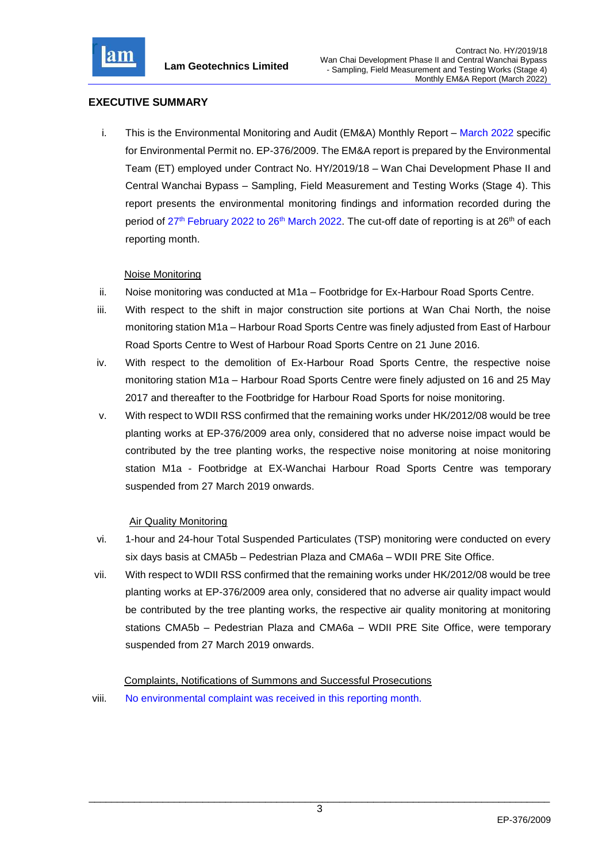

### <span id="page-3-0"></span>**EXECUTIVE SUMMARY**

i. This is the Environmental Monitoring and Audit (EM&A) Monthly Report – March 2022 specific for Environmental Permit no. EP-376/2009. The EM&A report is prepared by the Environmental Team (ET) employed under Contract No. HY/2019/18 – Wan Chai Development Phase II and Central Wanchai Bypass – Sampling, Field Measurement and Testing Works (Stage 4). This report presents the environmental monitoring findings and information recorded during the period of 27<sup>th</sup> February 2022 to 26<sup>th</sup> March 2022. The cut-off date of reporting is at 26<sup>th</sup> of each reporting month.

### Noise Monitoring

- ii. Noise monitoring was conducted at M1a Footbridge for Ex-Harbour Road Sports Centre.
- iii. With respect to the shift in major construction site portions at Wan Chai North, the noise monitoring station M1a – Harbour Road Sports Centre was finely adjusted from East of Harbour Road Sports Centre to West of Harbour Road Sports Centre on 21 June 2016.
- iv. With respect to the demolition of Ex-Harbour Road Sports Centre, the respective noise monitoring station M1a – Harbour Road Sports Centre were finely adjusted on 16 and 25 May 2017 and thereafter to the Footbridge for Harbour Road Sports for noise monitoring.
- v. With respect to WDII RSS confirmed that the remaining works under HK/2012/08 would be tree planting works at EP-376/2009 area only, considered that no adverse noise impact would be contributed by the tree planting works, the respective noise monitoring at noise monitoring station M1a - Footbridge at EX-Wanchai Harbour Road Sports Centre was temporary suspended from 27 March 2019 onwards.

#### Air Quality Monitoring

- vi. 1-hour and 24-hour Total Suspended Particulates (TSP) monitoring were conducted on every six days basis at CMA5b – Pedestrian Plaza and CMA6a – WDII PRE Site Office.
- vii. With respect to WDII RSS confirmed that the remaining works under HK/2012/08 would be tree planting works at EP-376/2009 area only, considered that no adverse air quality impact would be contributed by the tree planting works, the respective air quality monitoring at monitoring stations CMA5b – Pedestrian Plaza and CMA6a – WDII PRE Site Office, were temporary suspended from 27 March 2019 onwards.

Complaints, Notifications of Summons and Successful Prosecutions

viii. No environmental complaint was received in this reporting month.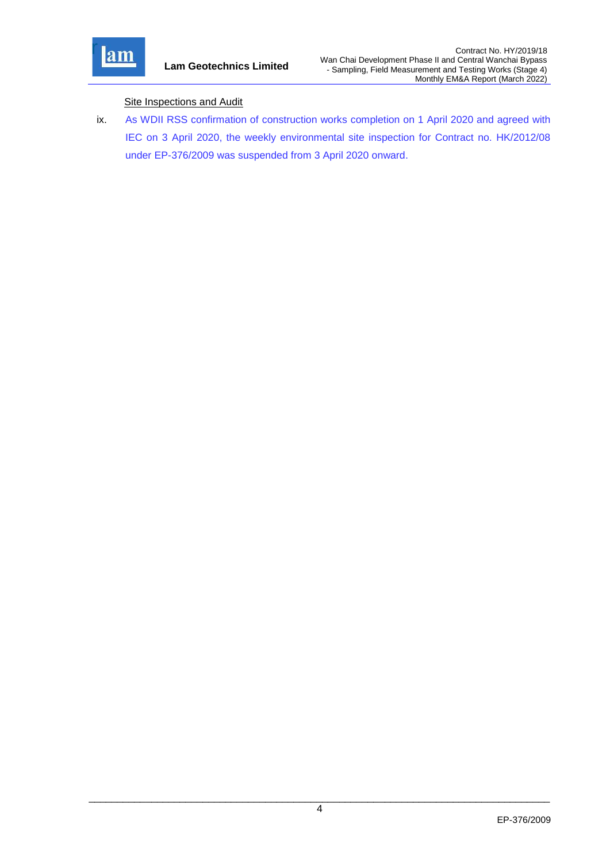

### **Site Inspections and Audit**

ix. As WDII RSS confirmation of construction works completion on 1 April 2020 and agreed with IEC on 3 April 2020, the weekly environmental site inspection for Contract no. HK/2012/08 under EP-376/2009 was suspended from 3 April 2020 onward.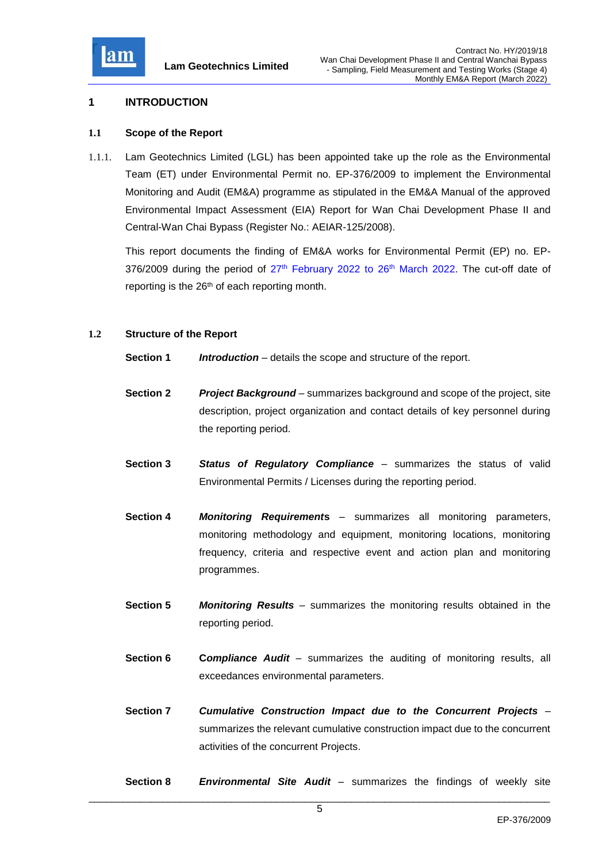

#### <span id="page-5-0"></span>**1 INTRODUCTION**

#### <span id="page-5-1"></span>**1.1 Scope of the Report**

1.1.1. Lam Geotechnics Limited (LGL) has been appointed take up the role as the Environmental Team (ET) under Environmental Permit no. EP-376/2009 to implement the Environmental Monitoring and Audit (EM&A) programme as stipulated in the EM&A Manual of the approved Environmental Impact Assessment (EIA) Report for Wan Chai Development Phase II and Central-Wan Chai Bypass (Register No.: AEIAR-125/2008).

This report documents the finding of EM&A works for Environmental Permit (EP) no. EP- $376/2009$  during the period of  $27<sup>th</sup>$  February 2022 to  $26<sup>th</sup>$  March 2022. The cut-off date of reporting is the 26<sup>th</sup> of each reporting month.

#### <span id="page-5-2"></span>**1.2 Structure of the Report**

- **Section 1** *Introduction* details the scope and structure of the report.
- **Section 2** *Project Background* summarizes background and scope of the project, site description, project organization and contact details of key personnel during the reporting period.
- **Section 3** *Status of Regulatory Compliance* summarizes the status of valid Environmental Permits / Licenses during the reporting period.
- **Section 4** *Monitoring Requirement***s** summarizes all monitoring parameters, monitoring methodology and equipment, monitoring locations, monitoring frequency, criteria and respective event and action plan and monitoring programmes.
- **Section 5** *Monitoring Results* summarizes the monitoring results obtained in the reporting period.
- **Section 6 C***ompliance Audit* summarizes the auditing of monitoring results, all exceedances environmental parameters.
- **Section 7** *Cumulative Construction Impact due to the Concurrent Projects*  summarizes the relevant cumulative construction impact due to the concurrent activities of the concurrent Projects.
- **Section 8** *Environmental Site Audit* summarizes the findings of weekly site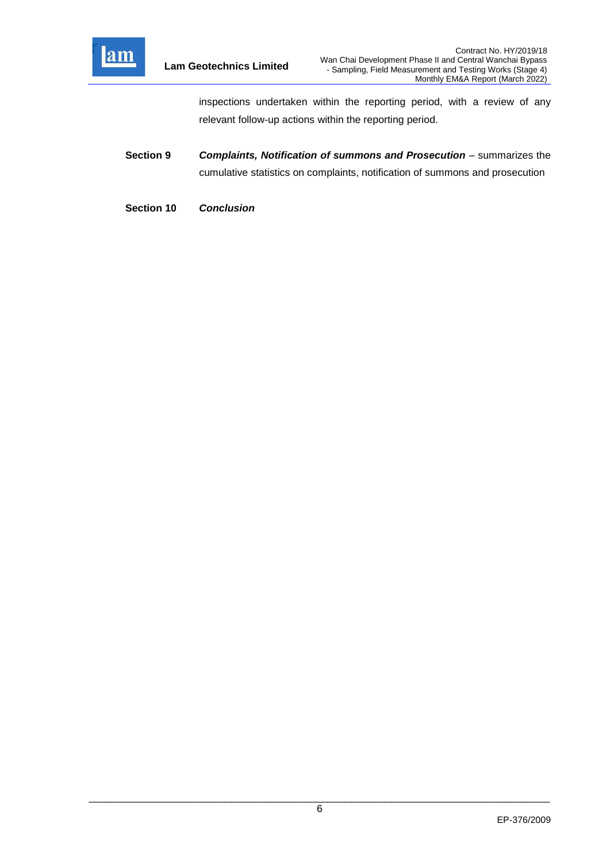

inspections undertaken within the reporting period, with a review of any relevant follow-up actions within the reporting period.

- **Section 9** *Complaints, Notification of summons and Prosecution summarizes the* cumulative statistics on complaints, notification of summons and prosecution
- **Section 10** *Conclusion*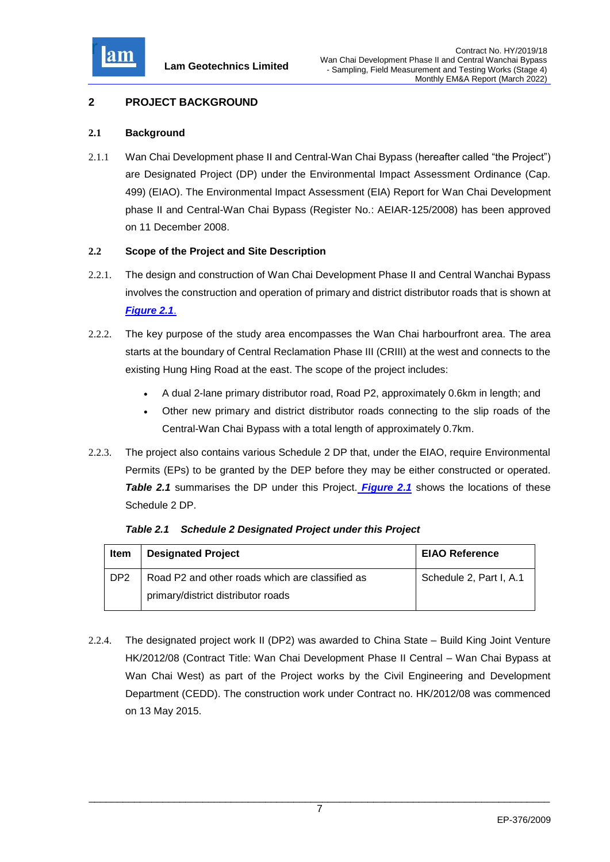

# <span id="page-7-0"></span>**2 PROJECT BACKGROUND**

### <span id="page-7-1"></span>**2.1 Background**

2.1.1 Wan Chai Development phase II and Central-Wan Chai Bypass (hereafter called "the Project") are Designated Project (DP) under the Environmental Impact Assessment Ordinance (Cap. 499) (EIAO). The Environmental Impact Assessment (EIA) Report for Wan Chai Development phase II and Central-Wan Chai Bypass (Register No.: AEIAR-125/2008) has been approved on 11 December 2008.

#### <span id="page-7-2"></span>**2.2 Scope of the Project and Site Description**

- 2.2.1. The design and construction of Wan Chai Development Phase II and Central Wanchai Bypass involves the construction and operation of primary and district distributor roads that is shown at *[Figure 2.1](file:///C:/Users/porsia/Desktop/Attachment/Fig2.1%20Project%20Layout.pdf)*.
- 2.2.2. The key purpose of the study area encompasses the Wan Chai harbourfront area. The area starts at the boundary of Central Reclamation Phase III (CRIII) at the west and connects to the existing Hung Hing Road at the east. The scope of the project includes:
	- A dual 2-lane primary distributor road, Road P2, approximately 0.6km in length; and
	- Other new primary and district distributor roads connecting to the slip roads of the Central-Wan Chai Bypass with a total length of approximately 0.7km.
- 2.2.3. The project also contains various Schedule 2 DP that, under the EIAO, require Environmental Permits (EPs) to be granted by the DEP before they may be either constructed or operated. **Table 2.1** summarises the DP under this Project. **[Figure 2.1](file:///C:/Users/porsia/Desktop/Attachment/Fig2.1%20Project%20Layout.pdf)** shows the locations of these Schedule 2 DP.

| Item            | <b>Designated Project</b>                       | <b>EIAO Reference</b>   |
|-----------------|-------------------------------------------------|-------------------------|
| DP <sub>2</sub> | Road P2 and other roads which are classified as | Schedule 2, Part I, A.1 |
|                 | primary/district distributor roads              |                         |

<span id="page-7-3"></span>*Table 2.1 Schedule 2 Designated Project under this Project*

2.2.4. The designated project work II (DP2) was awarded to China State – Build King Joint Venture HK/2012/08 (Contract Title: Wan Chai Development Phase II Central – Wan Chai Bypass at Wan Chai West) as part of the Project works by the Civil Engineering and Development Department (CEDD). The construction work under Contract no. HK/2012/08 was commenced on 13 May 2015.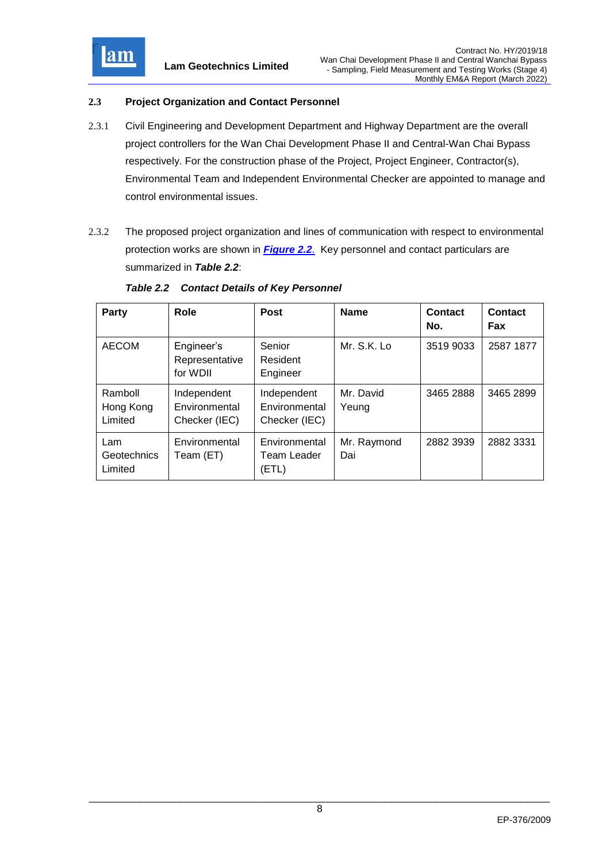

### <span id="page-8-0"></span>**2.3 Project Organization and Contact Personnel**

- 2.3.1 Civil Engineering and Development Department and Highway Department are the overall project controllers for the Wan Chai Development Phase II and Central-Wan Chai Bypass respectively. For the construction phase of the Project, Project Engineer, Contractor(s), Environmental Team and Independent Environmental Checker are appointed to manage and control environmental issues.
- 2.3.2 The proposed project organization and lines of communication with respect to environmental protection works are shown in *[Figure 2.2](file:///C:/Users/porsia/Desktop/Attachment/Fig2.2%20Project%20Organization%20Chart.pdf)*. Key personnel and contact particulars are summarized in *Table 2.2*:

| Party                           | <b>Role</b>                                   | <b>Post</b>                                   | <b>Name</b>        | Contact<br>No. | Contact<br>Fax |
|---------------------------------|-----------------------------------------------|-----------------------------------------------|--------------------|----------------|----------------|
| <b>AECOM</b>                    | Engineer's<br>Representative<br>for WDII      | Senior<br>Resident<br>Engineer                | Mr. S.K. Lo        | 3519 9033      | 2587 1877      |
| Ramboll<br>Hong Kong<br>Limited | Independent<br>Environmental<br>Checker (IEC) | Independent<br>Environmental<br>Checker (IEC) | Mr. David<br>Yeung | 3465 2888      | 3465 2899      |
| Lam<br>Geotechnics<br>Limited   | Environmental<br>Team (ET)                    | Environmental<br>Team Leader<br>(ETL)         | Mr. Raymond<br>Dai | 2882 3939      | 2882 3331      |

#### <span id="page-8-1"></span>*Table 2.2 Contact Details of Key Personnel*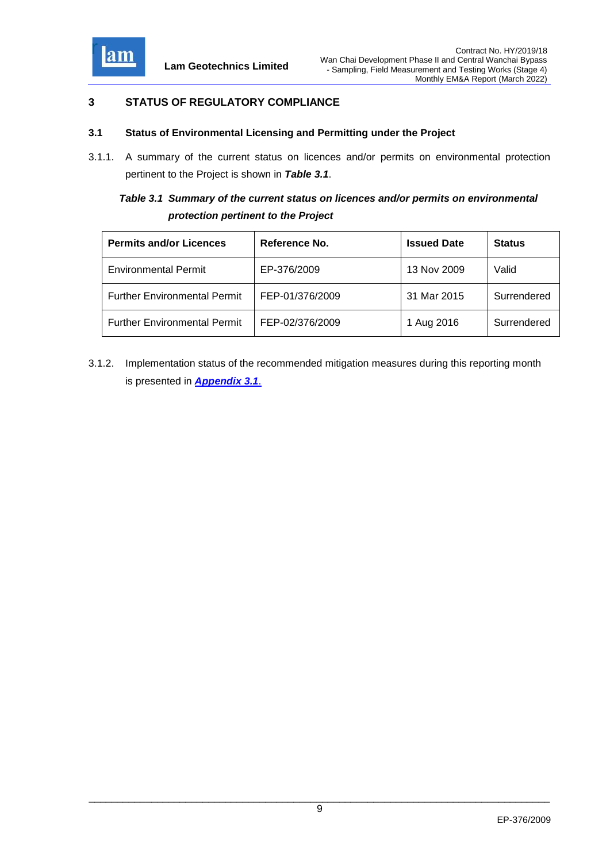

# <span id="page-9-0"></span>**3 STATUS OF REGULATORY COMPLIANCE**

#### <span id="page-9-1"></span>**3.1 Status of Environmental Licensing and Permitting under the Project**

3.1.1. A summary of the current status on licences and/or permits on environmental protection pertinent to the Project is shown in *Table 3.1*.

# <span id="page-9-2"></span>*Table 3.1 Summary of the current status on licences and/or permits on environmental protection pertinent to the Project*

| <b>Permits and/or Licences</b>      | Reference No.   | <b>Issued Date</b> | <b>Status</b> |
|-------------------------------------|-----------------|--------------------|---------------|
| <b>Environmental Permit</b>         | EP-376/2009     | 13 Nov 2009        | Valid         |
| <b>Further Environmental Permit</b> | FEP-01/376/2009 | 31 Mar 2015        | Surrendered   |
| <b>Further Environmental Permit</b> | FEP-02/376/2009 | 1 Aug 2016         | Surrendered   |

3.1.2. Implementation status of the recommended mitigation measures during this reporting month is presented in *[Appendix 3.1](file:///C:/Users/porsia/Desktop/Attachment/App3.1_Environmental%20Mitigation%20Implementation%20Schedule.pdf)*.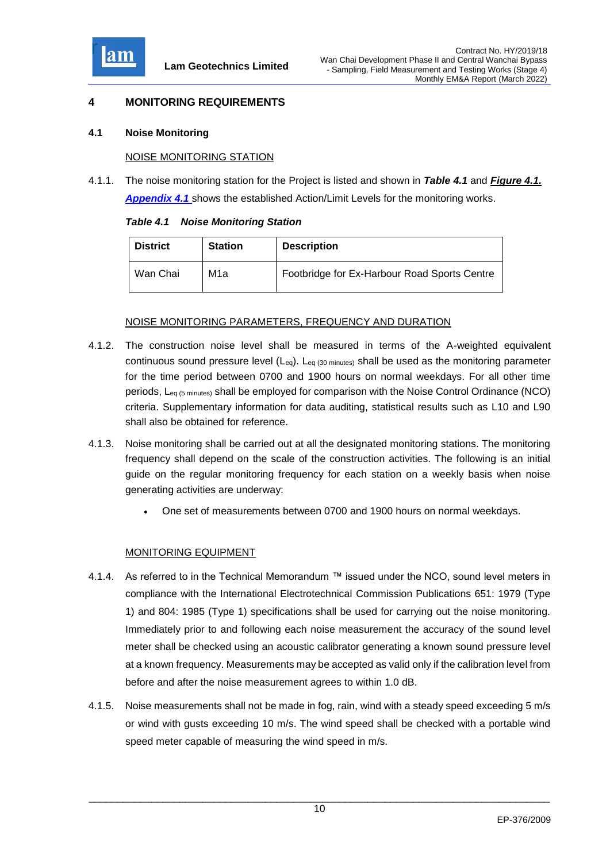

### <span id="page-10-0"></span>**4 MONITORING REQUIREMENTS**

#### <span id="page-10-1"></span>**4.1 Noise Monitoring**

#### NOISE MONITORING STATION

4.1.1. The noise monitoring station for the Project is listed and shown in *Table 4.1* and *[Figure 4.1.](file:///C:/Users/porsia/Desktop/Attachment/Fig4.1%20Locations%20of%20Monitoring%20Stations.pdf) [Appendix 4.1](file:///C:/Users/porsia/Attachment/App4.1_Action%20and%20Limit%20Level.pdf)* shows the established Action/Limit Levels for the monitoring works.

<span id="page-10-2"></span>

|  | <b>Table 4.1 Noise Monitoring Station</b> |  |
|--|-------------------------------------------|--|
|  |                                           |  |

| <b>District</b> | <b>Station</b> | <b>Description</b>                           |
|-----------------|----------------|----------------------------------------------|
| Wan Chai        | M1a            | Footbridge for Ex-Harbour Road Sports Centre |

### NOISE MONITORING PARAMETERS, FREQUENCY AND DURATION

- 4.1.2. The construction noise level shall be measured in terms of the A-weighted equivalent continuous sound pressure level (Leq). Leq (30 minutes) shall be used as the monitoring parameter for the time period between 0700 and 1900 hours on normal weekdays. For all other time periods, Leq (5 minutes) shall be employed for comparison with the Noise Control Ordinance (NCO) criteria. Supplementary information for data auditing, statistical results such as L10 and L90 shall also be obtained for reference.
- 4.1.3. Noise monitoring shall be carried out at all the designated monitoring stations. The monitoring frequency shall depend on the scale of the construction activities. The following is an initial guide on the regular monitoring frequency for each station on a weekly basis when noise generating activities are underway:
	- One set of measurements between 0700 and 1900 hours on normal weekdays.

### MONITORING EQUIPMENT

- 4.1.4. As referred to in the Technical Memorandum ™ issued under the NCO, sound level meters in compliance with the International Electrotechnical Commission Publications 651: 1979 (Type 1) and 804: 1985 (Type 1) specifications shall be used for carrying out the noise monitoring. Immediately prior to and following each noise measurement the accuracy of the sound level meter shall be checked using an acoustic calibrator generating a known sound pressure level at a known frequency. Measurements may be accepted as valid only if the calibration level from before and after the noise measurement agrees to within 1.0 dB.
- 4.1.5. Noise measurements shall not be made in fog, rain, wind with a steady speed exceeding 5 m/s or wind with gusts exceeding 10 m/s. The wind speed shall be checked with a portable wind speed meter capable of measuring the wind speed in m/s.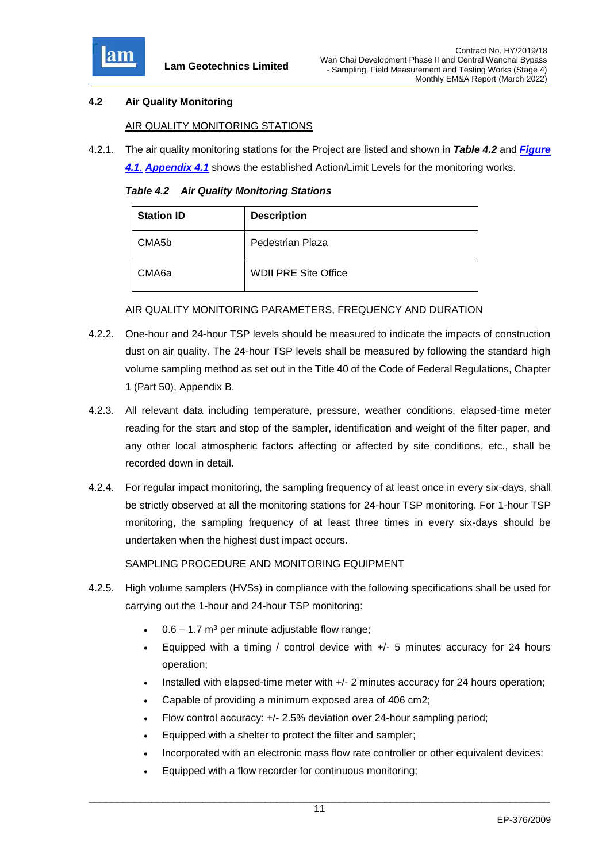

### <span id="page-11-0"></span>**4.2 Air Quality Monitoring**

### AIR QUALITY MONITORING STATIONS

4.2.1. The air quality monitoring stations for the Project are listed and shown in *Table 4.2* and *[Figure](file:///C:/Users/porsia/Desktop/Attachment/Fig4.1%20Locations%20of%20Monitoring%20Stations.pdf)* 

*[4.1](file:///C:/Users/porsia/Desktop/Attachment/Fig4.1%20Locations%20of%20Monitoring%20Stations.pdf)*. *[Appendix 4.1](file:///C:/Users/porsia/Desktop/Attachment/App4.1_Action%20and%20Limit%20Level.pdf)* shows the established Action/Limit Levels for the monitoring works.

*Table 4.2 Air Quality Monitoring Stations*

<span id="page-11-1"></span>

| <b>Station ID</b>  | <b>Description</b>          |
|--------------------|-----------------------------|
| CMA <sub>5</sub> b | Pedestrian Plaza            |
| CMA <sub>6a</sub>  | <b>WDII PRE Site Office</b> |

#### AIR QUALITY MONITORING PARAMETERS, FREQUENCY AND DURATION

- 4.2.2. One-hour and 24-hour TSP levels should be measured to indicate the impacts of construction dust on air quality. The 24-hour TSP levels shall be measured by following the standard high volume sampling method as set out in the Title 40 of the Code of Federal Regulations, Chapter 1 (Part 50), Appendix B.
- 4.2.3. All relevant data including temperature, pressure, weather conditions, elapsed-time meter reading for the start and stop of the sampler, identification and weight of the filter paper, and any other local atmospheric factors affecting or affected by site conditions, etc., shall be recorded down in detail.
- 4.2.4. For regular impact monitoring, the sampling frequency of at least once in every six-days, shall be strictly observed at all the monitoring stations for 24-hour TSP monitoring. For 1-hour TSP monitoring, the sampling frequency of at least three times in every six-days should be undertaken when the highest dust impact occurs.

### SAMPLING PROCEDURE AND MONITORING EQUIPMENT

- 4.2.5. High volume samplers (HVSs) in compliance with the following specifications shall be used for carrying out the 1-hour and 24-hour TSP monitoring:
	- $0.6 1.7$  m<sup>3</sup> per minute adjustable flow range;
	- Equipped with a timing / control device with +/- 5 minutes accuracy for 24 hours operation;
	- Installed with elapsed-time meter with +/- 2 minutes accuracy for 24 hours operation;
	- Capable of providing a minimum exposed area of 406 cm2;
	- Flow control accuracy: +/- 2.5% deviation over 24-hour sampling period;
	- Equipped with a shelter to protect the filter and sampler;
	- Incorporated with an electronic mass flow rate controller or other equivalent devices;
	- Equipped with a flow recorder for continuous monitoring;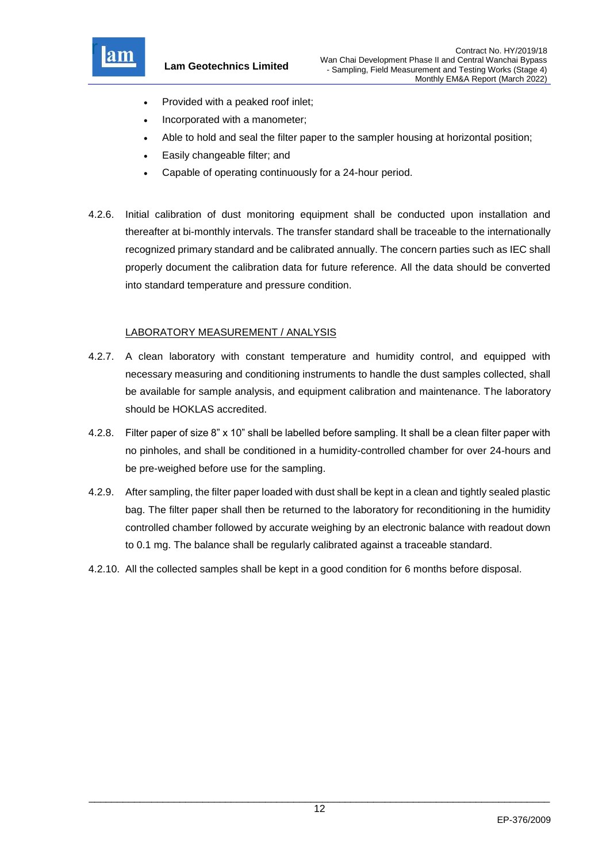

**Lam Geotechnics Limited**

- Provided with a peaked roof inlet;
- Incorporated with a manometer;
- Able to hold and seal the filter paper to the sampler housing at horizontal position;
- Easily changeable filter; and
- Capable of operating continuously for a 24-hour period.
- 4.2.6. Initial calibration of dust monitoring equipment shall be conducted upon installation and thereafter at bi-monthly intervals. The transfer standard shall be traceable to the internationally recognized primary standard and be calibrated annually. The concern parties such as IEC shall properly document the calibration data for future reference. All the data should be converted into standard temperature and pressure condition.

### LABORATORY MEASUREMENT / ANALYSIS

- 4.2.7. A clean laboratory with constant temperature and humidity control, and equipped with necessary measuring and conditioning instruments to handle the dust samples collected, shall be available for sample analysis, and equipment calibration and maintenance. The laboratory should be HOKLAS accredited.
- 4.2.8. Filter paper of size 8" x 10" shall be labelled before sampling. It shall be a clean filter paper with no pinholes, and shall be conditioned in a humidity-controlled chamber for over 24-hours and be pre-weighed before use for the sampling.
- 4.2.9. After sampling, the filter paper loaded with dust shall be kept in a clean and tightly sealed plastic bag. The filter paper shall then be returned to the laboratory for reconditioning in the humidity controlled chamber followed by accurate weighing by an electronic balance with readout down to 0.1 mg. The balance shall be regularly calibrated against a traceable standard.
- 4.2.10. All the collected samples shall be kept in a good condition for 6 months before disposal.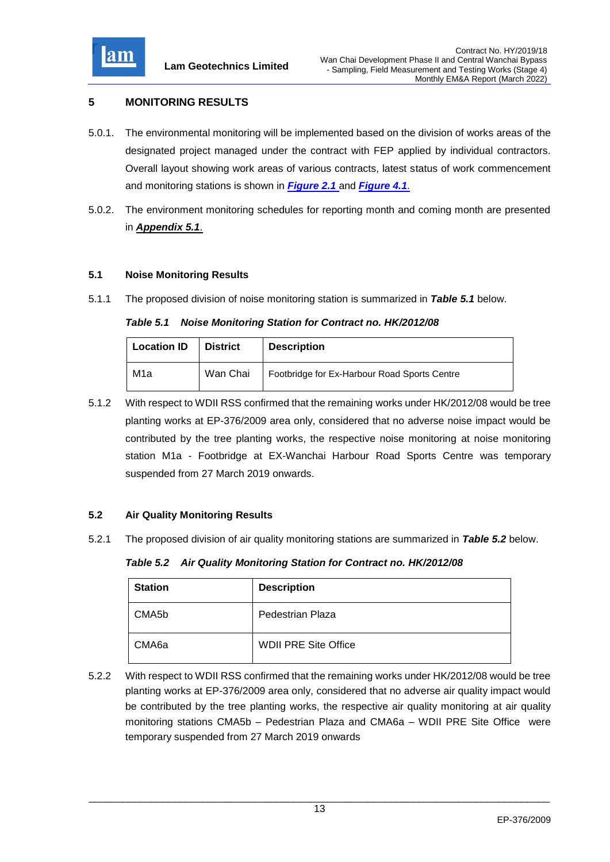

# <span id="page-13-0"></span>**5 MONITORING RESULTS**

- 5.0.1. The environmental monitoring will be implemented based on the division of works areas of the designated project managed under the contract with FEP applied by individual contractors. Overall layout showing work areas of various contracts, latest status of work commencement and monitoring stations is shown in *[Figure 2.1](file:///C:/Users/porsia/Attachment/Fig2.1%20Project%20Layout.pdf)* and *Figure 4.1*.
- 5.0.2. The environment monitoring schedules for reporting month and coming month are presented in *[Appendix 5.1](file://///100.100.100.13/team3dir/t3/1.0%20Project/2011/G1120/Submission/_EM&A%20Report_EP376/Mrtp2015.09/Attachment/App5.1_Monitoring%20Schedules.pdf)*.

#### <span id="page-13-1"></span>**5.1 Noise Monitoring Results**

5.1.1 The proposed division of noise monitoring station is summarized in *Table 5.1* below.

#### <span id="page-13-3"></span>*Table 5.1 Noise Monitoring Station for Contract no. HK/2012/08*

| <b>Location ID</b> | <b>District</b> | <b>Description</b>                           |
|--------------------|-----------------|----------------------------------------------|
| M1a                | Wan Chai        | Footbridge for Ex-Harbour Road Sports Centre |

5.1.2 With respect to WDII RSS confirmed that the remaining works under HK/2012/08 would be tree planting works at EP-376/2009 area only, considered that no adverse noise impact would be contributed by the tree planting works, the respective noise monitoring at noise monitoring station M1a - Footbridge at EX-Wanchai Harbour Road Sports Centre was temporary suspended from 27 March 2019 onwards.

### <span id="page-13-2"></span>**5.2 Air Quality Monitoring Results**

5.2.1 The proposed division of air quality monitoring stations are summarized in *Table 5.2* below.

*Table 5.2 Air Quality Monitoring Station for Contract no. HK/2012/08*

<span id="page-13-4"></span>

| <b>Station</b> | <b>Description</b>          |
|----------------|-----------------------------|
| CMA5b          | Pedestrian Plaza            |
| CMA6a          | <b>WDII PRE Site Office</b> |

5.2.2 With respect to WDII RSS confirmed that the remaining works under HK/2012/08 would be tree planting works at EP-376/2009 area only, considered that no adverse air quality impact would be contributed by the tree planting works, the respective air quality monitoring at air quality monitoring stations CMA5b – Pedestrian Plaza and CMA6a – WDII PRE Site Office were temporary suspended from 27 March 2019 onwards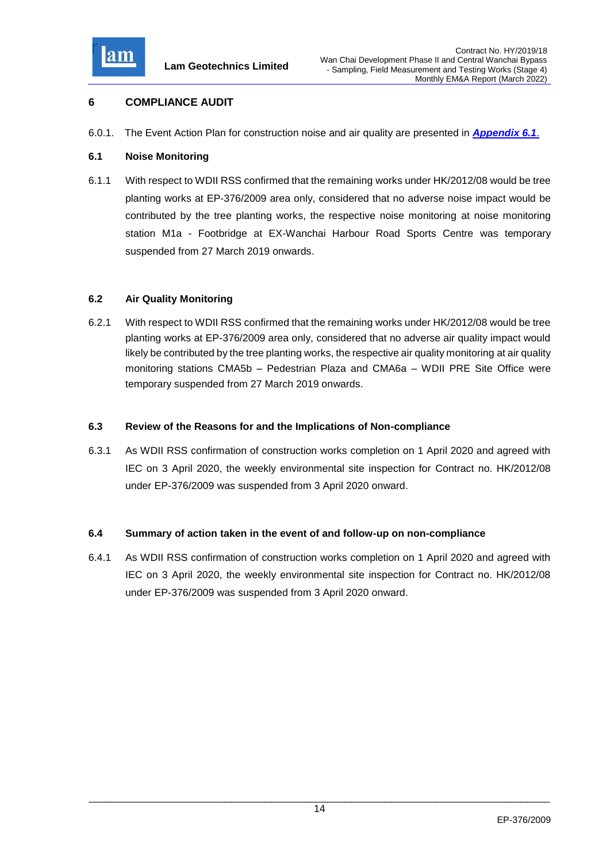

### <span id="page-14-0"></span>**6 COMPLIANCE AUDIT**

6.0.1. The Event Action Plan for construction noise and air quality are presented in *[Appendix 6.1](file:///C:/Users/porsia/Desktop/Attachment/App6.1_Event%20and%20Action%20Plan.pdf)*.

### <span id="page-14-1"></span>**6.1 Noise Monitoring**

6.1.1 With respect to WDII RSS confirmed that the remaining works under HK/2012/08 would be tree planting works at EP-376/2009 area only, considered that no adverse noise impact would be contributed by the tree planting works, the respective noise monitoring at noise monitoring station M1a - Footbridge at EX-Wanchai Harbour Road Sports Centre was temporary suspended from 27 March 2019 onwards.

### <span id="page-14-2"></span>**6.2 Air Quality Monitoring**

6.2.1 With respect to WDII RSS confirmed that the remaining works under HK/2012/08 would be tree planting works at EP-376/2009 area only, considered that no adverse air quality impact would likely be contributed by the tree planting works, the respective air quality monitoring at air quality monitoring stations CMA5b – Pedestrian Plaza and CMA6a – WDII PRE Site Office were temporary suspended from 27 March 2019 onwards.

#### <span id="page-14-3"></span>**6.3 Review of the Reasons for and the Implications of Non-compliance**

6.3.1 As WDII RSS confirmation of construction works completion on 1 April 2020 and agreed with IEC on 3 April 2020, the weekly environmental site inspection for Contract no. HK/2012/08 under EP-376/2009 was suspended from 3 April 2020 onward.

### <span id="page-14-4"></span>**6.4 Summary of action taken in the event of and follow-up on non-compliance**

6.4.1 As WDII RSS confirmation of construction works completion on 1 April 2020 and agreed with IEC on 3 April 2020, the weekly environmental site inspection for Contract no. HK/2012/08 under EP-376/2009 was suspended from 3 April 2020 onward.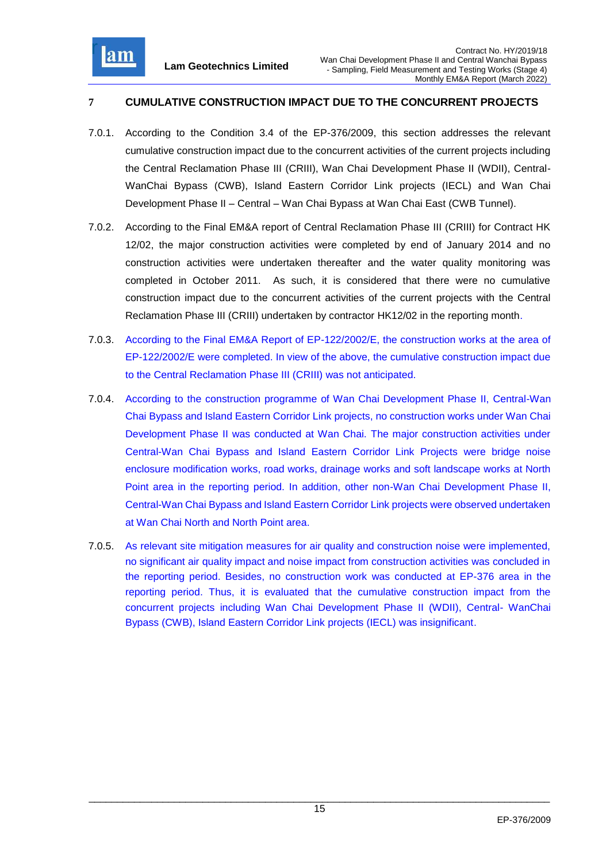

# <span id="page-15-0"></span>**7 CUMULATIVE CONSTRUCTION IMPACT DUE TO THE CONCURRENT PROJECTS**

- 7.0.1. According to the Condition 3.4 of the EP-376/2009, this section addresses the relevant cumulative construction impact due to the concurrent activities of the current projects including the Central Reclamation Phase III (CRIII), Wan Chai Development Phase II (WDII), Central-WanChai Bypass (CWB), Island Eastern Corridor Link projects (IECL) and Wan Chai Development Phase II – Central – Wan Chai Bypass at Wan Chai East (CWB Tunnel).
- 7.0.2. According to the Final EM&A report of Central Reclamation Phase III (CRIII) for Contract HK 12/02, the major construction activities were completed by end of January 2014 and no construction activities were undertaken thereafter and the water quality monitoring was completed in October 2011. As such, it is considered that there were no cumulative construction impact due to the concurrent activities of the current projects with the Central Reclamation Phase III (CRIII) undertaken by contractor HK12/02 in the reporting month.
- 7.0.3. According to the Final EM&A Report of EP-122/2002/E, the construction works at the area of EP-122/2002/E were completed. In view of the above, the cumulative construction impact due to the Central Reclamation Phase III (CRIII) was not anticipated.
- 7.0.4. According to the construction programme of Wan Chai Development Phase II, Central-Wan Chai Bypass and Island Eastern Corridor Link projects, no construction works under Wan Chai Development Phase II was conducted at Wan Chai. The major construction activities under Central-Wan Chai Bypass and Island Eastern Corridor Link Projects were bridge noise enclosure modification works, road works, drainage works and soft landscape works at North Point area in the reporting period. In addition, other non-Wan Chai Development Phase II, Central-Wan Chai Bypass and Island Eastern Corridor Link projects were observed undertaken at Wan Chai North and North Point area.
- 7.0.5. As relevant site mitigation measures for air quality and construction noise were implemented, no significant air quality impact and noise impact from construction activities was concluded in the reporting period. Besides, no construction work was conducted at EP-376 area in the reporting period. Thus, it is evaluated that the cumulative construction impact from the concurrent projects including Wan Chai Development Phase II (WDII), Central- WanChai Bypass (CWB), Island Eastern Corridor Link projects (IECL) was insignificant.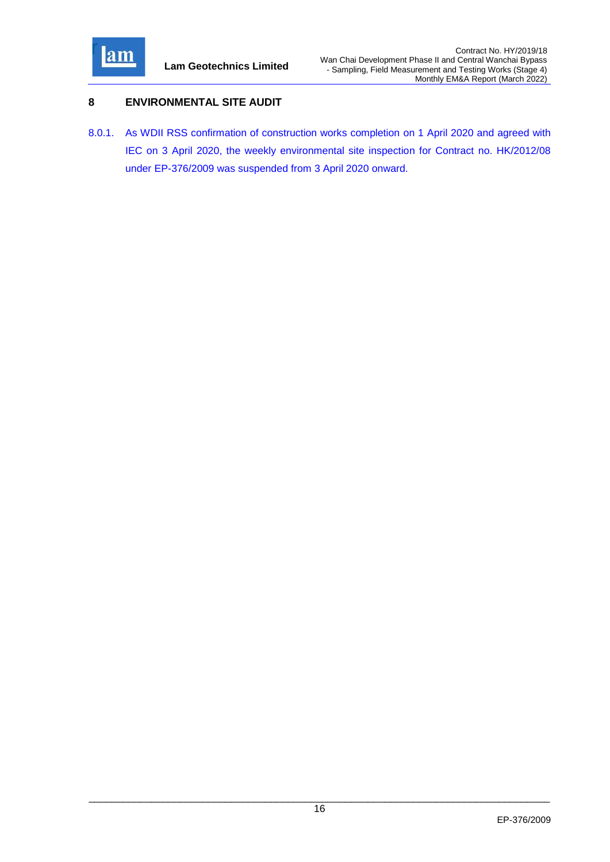

### <span id="page-16-0"></span>**8 ENVIRONMENTAL SITE AUDIT**

8.0.1. As WDII RSS confirmation of construction works completion on 1 April 2020 and agreed with IEC on 3 April 2020, the weekly environmental site inspection for Contract no. HK/2012/08 under EP-376/2009 was suspended from 3 April 2020 onward.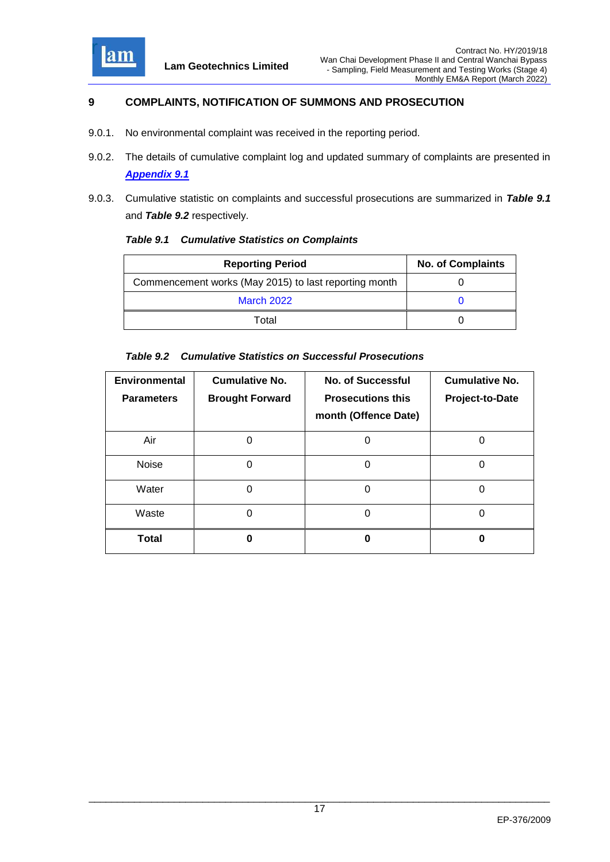

# <span id="page-17-0"></span>**9 COMPLAINTS, NOTIFICATION OF SUMMONS AND PROSECUTION**

- 9.0.1. No environmental complaint was received in the reporting period.
- 9.0.2. The details of cumulative complaint log and updated summary of complaints are presented in *[Appendix 9.1](file:///C:/Users/porsia/Desktop/Attachment/App9.1_Complaint%20Log.pdf)*
- 9.0.3. Cumulative statistic on complaints and successful prosecutions are summarized in *Table 9.1* and *Table 9.2* respectively.

<span id="page-17-1"></span>

| <b>Table 9.1 Cumulative Statistics on Complaints</b> |  |  |
|------------------------------------------------------|--|--|
|                                                      |  |  |

| <b>Reporting Period</b>                               | <b>No. of Complaints</b> |
|-------------------------------------------------------|--------------------------|
| Commencement works (May 2015) to last reporting month |                          |
| <b>March 2022</b>                                     |                          |
| Total                                                 |                          |

#### <span id="page-17-2"></span>*Table 9.2 Cumulative Statistics on Successful Prosecutions*

| Environmental<br><b>Parameters</b> | <b>Cumulative No.</b><br><b>Brought Forward</b> | <b>No. of Successful</b><br><b>Prosecutions this</b><br>month (Offence Date) | <b>Cumulative No.</b><br>Project-to-Date |
|------------------------------------|-------------------------------------------------|------------------------------------------------------------------------------|------------------------------------------|
| Air                                |                                                 |                                                                              |                                          |
| Noise                              | 0                                               | O                                                                            |                                          |
| Water                              | 0                                               |                                                                              |                                          |
| Waste                              | ი                                               | 0                                                                            |                                          |
| Total                              |                                                 |                                                                              |                                          |